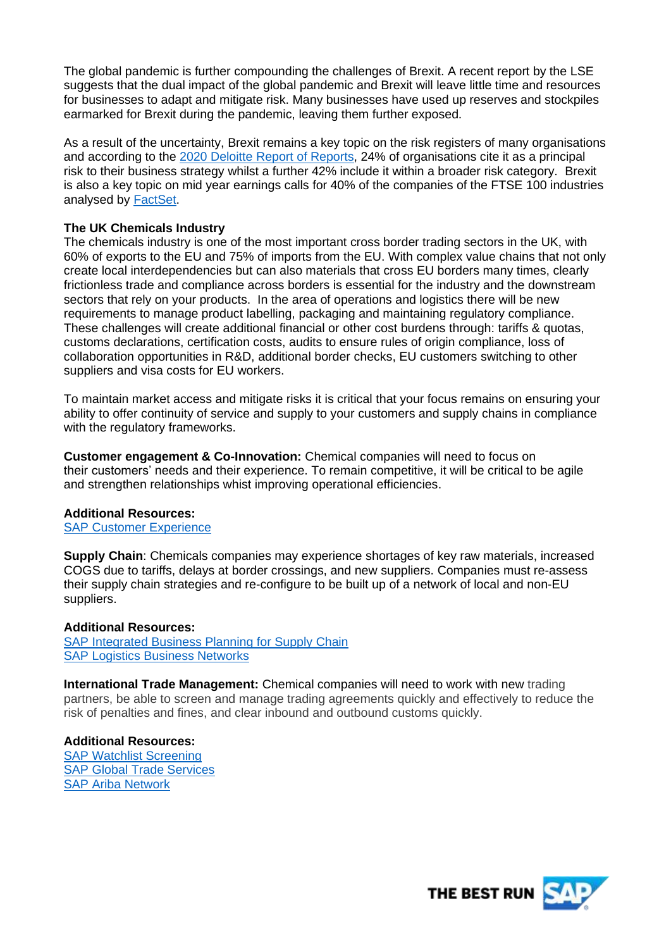The global pandemic is further compounding the challenges of Brexit. A recent report by the LSE suggests that the dual impact of the global pandemic and Brexit will leave little time and resources for businesses to adapt and mitigate risk. Many businesses have used up reserves and stockpiles earmarked for Brexit during the pandemic, leaving them further exposed.

As a result of the uncertainty, Brexit remains a key topic on the risk registers of many organisations and according to the [2020 Deloitte Report of Reports,](https://www2.deloitte.com/uk/en/pages/audit/articles/annual-report-insights-2020.html) 24% of organisations cite it as a principal risk to their business strategy whilst a further 42% include it within a broader risk category. Brexit is also a key topic on mid year earnings calls for 40% of the companies of the FTSE 100 industries analysed by [FactSet.](https://insight.factset.com/which-uk-industries-will-likely-be-impacted-by-brexit)

## **The UK Chemicals Industry**

The chemicals industry is one of the most important cross border trading sectors in the UK, with 60% of exports to the EU and 75% of imports from the EU. With complex value chains that not only create local interdependencies but can also materials that cross EU borders many times, clearly frictionless trade and compliance across borders is essential for the industry and the downstream sectors that rely on your products. In the area of operations and logistics there will be new requirements to manage product labelling, packaging and maintaining regulatory compliance. These challenges will create additional financial or other cost burdens through: tariffs & quotas, customs declarations, certification costs, audits to ensure rules of origin compliance, loss of collaboration opportunities in R&D, additional border checks, EU customers switching to other suppliers and visa costs for EU workers.

To maintain market access and mitigate risks it is critical that your focus remains on ensuring your ability to offer continuity of service and supply to your customers and supply chains in compliance with the regulatory frameworks.

**Customer engagement & Co-Innovation:** Chemical companies will need to focus on their customers' needs and their experience. To remain competitive, it will be critical to be agile and strengthen relationships whist improving operational efficiencies.

### **Additional Resources:**

SAP [Customer Experience](https://www.sap.com/products/crm.html?btp=5ad5c7ed-1906-421e-9ace-d2a666560413)

**Supply Chain**: Chemicals companies may experience shortages of key raw materials, increased COGS due to tariffs, delays at border crossings, and new suppliers. Companies must re-assess their supply chain strategies and re-configure to be built up of a network of local and non-EU suppliers.

### **Additional Resources:**

[SAP Integrated Business Planning for Supply Chain](https://www.sap.com/uk/products/integrated-business-planning.html) [SAP Logistics Business Networks](https://www.sap.com/products/logistics-business-network.html?btp=5ad5c7ed-1906-421e-9ace-d2a666560413)

**International Trade Management:** Chemical companies will need to work with new trading partners, be able to screen and manage trading agreements quickly and effectively to reduce the risk of penalties and fines, and clear inbound and outbound customs quickly.

**Additional Resources:**  [SAP Watchlist Screening](https://www.sap.com/products/watch-list-screening.html?btp=5ad5c7ed-1906-421e-9ace-d2a666560413) [SAP Global Trade Services](https://www.sap.com/products/global-trade-management.html?btp=5ad5c7ed-1906-421e-9ace-d2a666560413) [SAP Ariba Network](https://www.ariba.com/ariba-network)